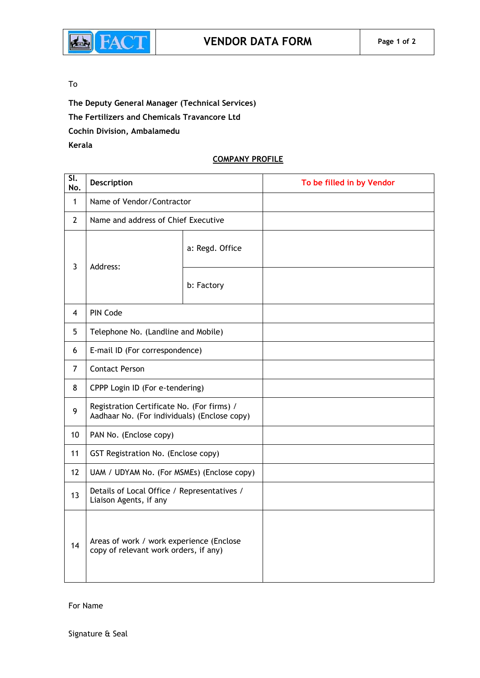

## To

**The Deputy General Manager (Technical Services) The Fertilizers and Chemicals Travancore Ltd Cochin Division, Ambalamedu Kerala**

### **COMPANY PROFILE**

| $\overline{\mathsf{SL}}$<br>No. | Description                                                                                |                 | To be filled in by Vendor |
|---------------------------------|--------------------------------------------------------------------------------------------|-----------------|---------------------------|
| $\mathbf{1}$                    | Name of Vendor/Contractor                                                                  |                 |                           |
| $\overline{2}$                  | Name and address of Chief Executive                                                        |                 |                           |
| $\overline{3}$                  | Address:                                                                                   | a: Regd. Office |                           |
|                                 |                                                                                            | b: Factory      |                           |
| $\overline{4}$                  | PIN Code                                                                                   |                 |                           |
| 5                               | Telephone No. (Landline and Mobile)                                                        |                 |                           |
| 6                               | E-mail ID (For correspondence)                                                             |                 |                           |
| $\overline{7}$                  | <b>Contact Person</b>                                                                      |                 |                           |
| 8                               | CPPP Login ID (For e-tendering)                                                            |                 |                           |
| 9                               | Registration Certificate No. (For firms) /<br>Aadhaar No. (For individuals) (Enclose copy) |                 |                           |
| 10                              | PAN No. (Enclose copy)                                                                     |                 |                           |
| 11                              | GST Registration No. (Enclose copy)                                                        |                 |                           |
| 12                              | UAM / UDYAM No. (For MSMEs) (Enclose copy)                                                 |                 |                           |
| 13                              | Details of Local Office / Representatives /<br>Liaison Agents, if any                      |                 |                           |
| 14                              | Areas of work / work experience (Enclose<br>copy of relevant work orders, if any)          |                 |                           |

For Name